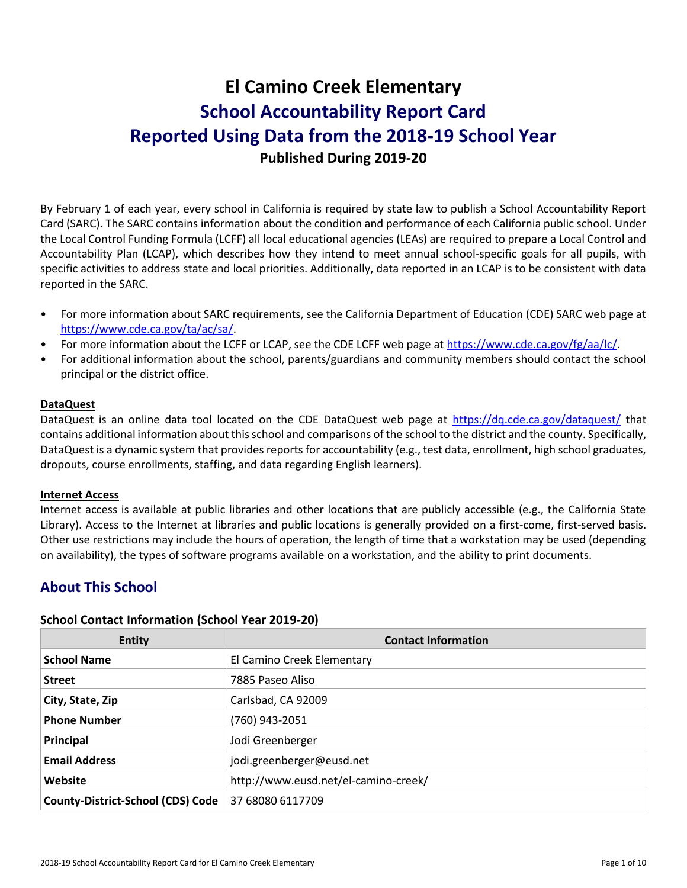# **El Camino Creek Elementary School Accountability Report Card Reported Using Data from the 2018-19 School Year Published During 2019-20**

By February 1 of each year, every school in California is required by state law to publish a School Accountability Report Card (SARC). The SARC contains information about the condition and performance of each California public school. Under the Local Control Funding Formula (LCFF) all local educational agencies (LEAs) are required to prepare a Local Control and Accountability Plan (LCAP), which describes how they intend to meet annual school-specific goals for all pupils, with specific activities to address state and local priorities. Additionally, data reported in an LCAP is to be consistent with data reported in the SARC.

- For more information about SARC requirements, see the California Department of Education (CDE) SARC web page at [https://www.cde.ca.gov/ta/ac/sa/.](https://www.cde.ca.gov/ta/ac/sa/)
- For more information about the LCFF or LCAP, see the CDE LCFF web page at [https://www.cde.ca.gov/fg/aa/lc/.](https://www.cde.ca.gov/fg/aa/lc/)
- For additional information about the school, parents/guardians and community members should contact the school principal or the district office.

### **DataQuest**

DataQuest is an online data tool located on the CDE DataQuest web page at<https://dq.cde.ca.gov/dataquest/> that contains additional information about this school and comparisons of the school to the district and the county. Specifically, DataQuest is a dynamic system that provides reports for accountability (e.g., test data, enrollment, high school graduates, dropouts, course enrollments, staffing, and data regarding English learners).

#### **Internet Access**

Internet access is available at public libraries and other locations that are publicly accessible (e.g., the California State Library). Access to the Internet at libraries and public locations is generally provided on a first-come, first-served basis. Other use restrictions may include the hours of operation, the length of time that a workstation may be used (depending on availability), the types of software programs available on a workstation, and the ability to print documents.

## **About This School**

### **School Contact Information (School Year 2019-20)**

| <b>Entity</b>                            | <b>Contact Information</b>           |
|------------------------------------------|--------------------------------------|
| <b>School Name</b>                       | El Camino Creek Elementary           |
| <b>Street</b>                            | 7885 Paseo Aliso                     |
| City, State, Zip                         | Carlsbad, CA 92009                   |
| <b>Phone Number</b>                      | (760) 943-2051                       |
| Principal                                | Jodi Greenberger                     |
| <b>Email Address</b>                     | jodi.greenberger@eusd.net            |
| Website                                  | http://www.eusd.net/el-camino-creek/ |
| <b>County-District-School (CDS) Code</b> | 37 68080 6117709                     |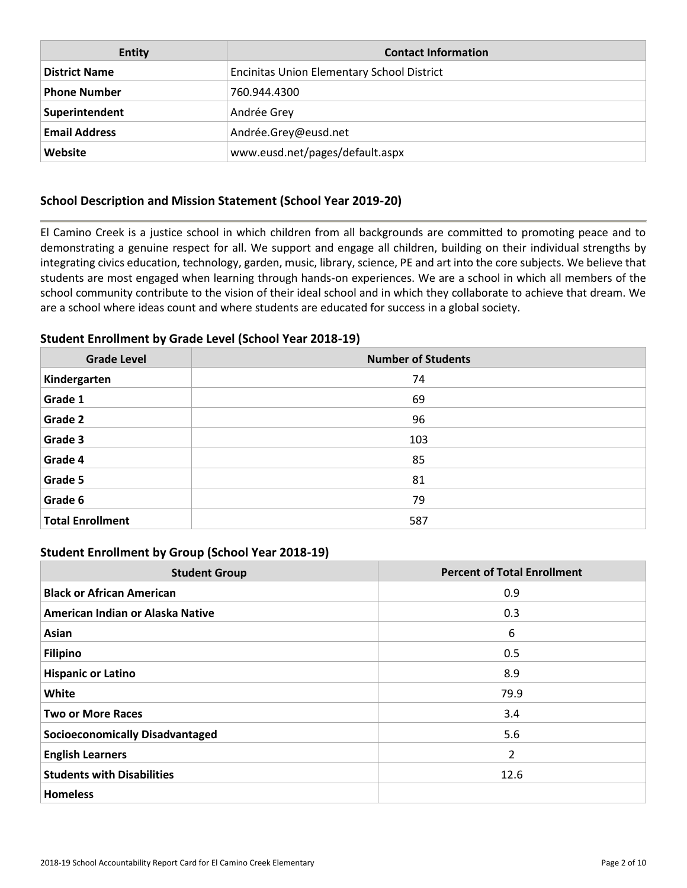| <b>Entity</b>        | <b>Contact Information</b>                        |
|----------------------|---------------------------------------------------|
| <b>District Name</b> | <b>Encinitas Union Elementary School District</b> |
| <b>Phone Number</b>  | 760.944.4300                                      |
| Superintendent       | Andrée Grey                                       |
| <b>Email Address</b> | Andrée.Grey@eusd.net                              |
| Website              | www.eusd.net/pages/default.aspx                   |

## **School Description and Mission Statement (School Year 2019-20)**

El Camino Creek is a justice school in which children from all backgrounds are committed to promoting peace and to demonstrating a genuine respect for all. We support and engage all children, building on their individual strengths by integrating civics education, technology, garden, music, library, science, PE and art into the core subjects. We believe that students are most engaged when learning through hands-on experiences. We are a school in which all members of the school community contribute to the vision of their ideal school and in which they collaborate to achieve that dream. We are a school where ideas count and where students are educated for success in a global society.

### **Student Enrollment by Grade Level (School Year 2018-19)**

| <b>Grade Level</b>      | <b>Number of Students</b> |
|-------------------------|---------------------------|
| Kindergarten            | 74                        |
| Grade 1                 | 69                        |
| Grade 2                 | 96                        |
| Grade 3                 | 103                       |
| Grade 4                 | 85                        |
| Grade 5                 | 81                        |
| Grade 6                 | 79                        |
| <b>Total Enrollment</b> | 587                       |

### **Student Enrollment by Group (School Year 2018-19)**

| <b>Student Group</b>                   | <b>Percent of Total Enrollment</b> |
|----------------------------------------|------------------------------------|
| <b>Black or African American</b>       | 0.9                                |
| American Indian or Alaska Native       | 0.3                                |
| Asian                                  | 6                                  |
| <b>Filipino</b>                        | 0.5                                |
| <b>Hispanic or Latino</b>              | 8.9                                |
| White                                  | 79.9                               |
| <b>Two or More Races</b>               | 3.4                                |
| <b>Socioeconomically Disadvantaged</b> | 5.6                                |
| <b>English Learners</b>                | 2                                  |
| <b>Students with Disabilities</b>      | 12.6                               |
| <b>Homeless</b>                        |                                    |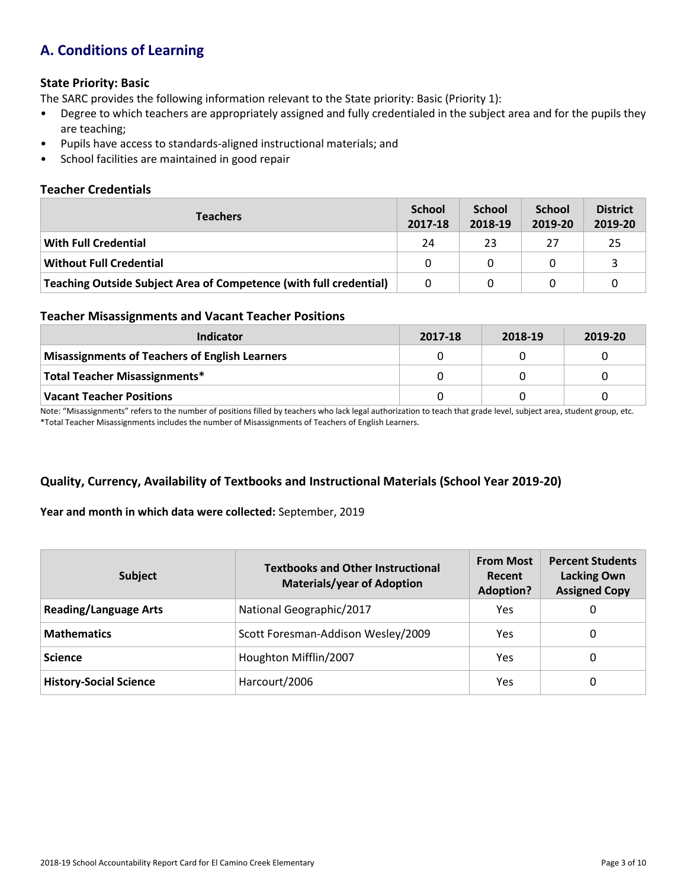## **A. Conditions of Learning**

## **State Priority: Basic**

The SARC provides the following information relevant to the State priority: Basic (Priority 1):

- Degree to which teachers are appropriately assigned and fully credentialed in the subject area and for the pupils they are teaching;
- Pupils have access to standards-aligned instructional materials; and
- School facilities are maintained in good repair

### **Teacher Credentials**

| <b>Teachers</b>                                                    |              | <b>School</b><br>2018-19 | <b>School</b><br>2019-20 | <b>District</b><br>2019-20 |
|--------------------------------------------------------------------|--------------|--------------------------|--------------------------|----------------------------|
| <b>With Full Credential</b>                                        | 24           | 23                       | 27                       | -25                        |
| <b>Without Full Credential</b>                                     | <sup>0</sup> |                          |                          |                            |
| Teaching Outside Subject Area of Competence (with full credential) | 0            |                          |                          |                            |

#### **Teacher Misassignments and Vacant Teacher Positions**

| Indicator                                             | 2017-18 | 2018-19 | 2019-20 |
|-------------------------------------------------------|---------|---------|---------|
| <b>Misassignments of Teachers of English Learners</b> |         |         |         |
| <b>Total Teacher Misassignments*</b>                  |         |         |         |
| <b>Vacant Teacher Positions</b>                       |         |         |         |

Note: "Misassignments" refers to the number of positions filled by teachers who lack legal authorization to teach that grade level, subject area, student group, etc. \*Total Teacher Misassignments includes the number of Misassignments of Teachers of English Learners.

## **Quality, Currency, Availability of Textbooks and Instructional Materials (School Year 2019-20)**

### **Year and month in which data were collected:** September, 2019

| <b>Subject</b>                | <b>Textbooks and Other Instructional</b><br><b>Materials/year of Adoption</b> | <b>From Most</b><br>Recent<br><b>Adoption?</b> | <b>Percent Students</b><br><b>Lacking Own</b><br><b>Assigned Copy</b> |
|-------------------------------|-------------------------------------------------------------------------------|------------------------------------------------|-----------------------------------------------------------------------|
| <b>Reading/Language Arts</b>  | National Geographic/2017                                                      | Yes                                            | 0                                                                     |
| <b>Mathematics</b>            | Scott Foresman-Addison Wesley/2009                                            | Yes                                            | 0                                                                     |
| <b>Science</b>                | Houghton Mifflin/2007                                                         | Yes                                            | 0                                                                     |
| <b>History-Social Science</b> | Harcourt/2006                                                                 | Yes                                            | 0                                                                     |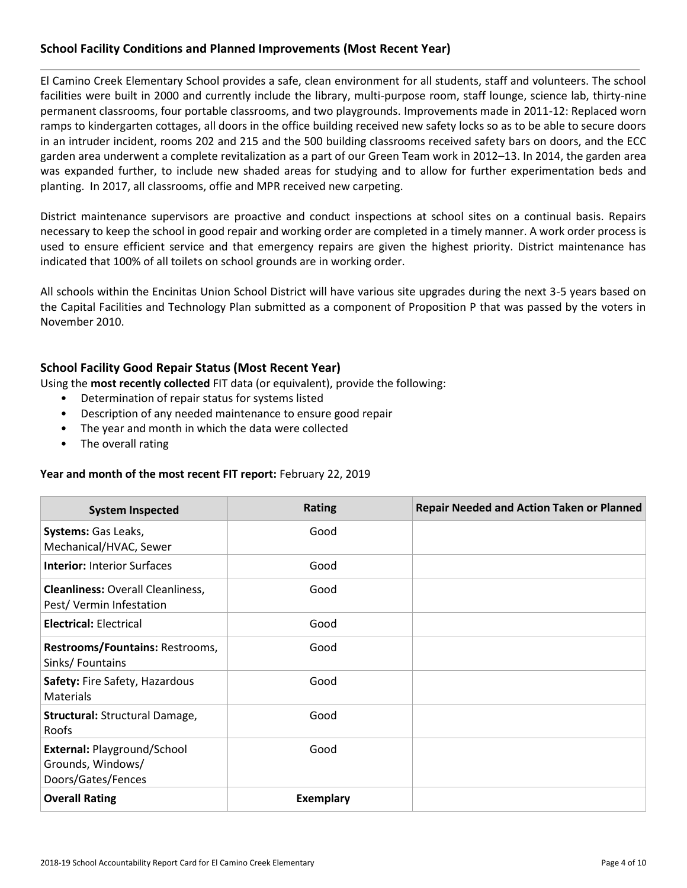## **School Facility Conditions and Planned Improvements (Most Recent Year)**

El Camino Creek Elementary School provides a safe, clean environment for all students, staff and volunteers. The school facilities were built in 2000 and currently include the library, multi-purpose room, staff lounge, science lab, thirty-nine permanent classrooms, four portable classrooms, and two playgrounds. Improvements made in 2011-12: Replaced worn ramps to kindergarten cottages, all doors in the office building received new safety locks so as to be able to secure doors in an intruder incident, rooms 202 and 215 and the 500 building classrooms received safety bars on doors, and the ECC garden area underwent a complete revitalization as a part of our Green Team work in 2012–13. In 2014, the garden area was expanded further, to include new shaded areas for studying and to allow for further experimentation beds and planting. In 2017, all classrooms, offie and MPR received new carpeting.

District maintenance supervisors are proactive and conduct inspections at school sites on a continual basis. Repairs necessary to keep the school in good repair and working order are completed in a timely manner. A work order process is used to ensure efficient service and that emergency repairs are given the highest priority. District maintenance has indicated that 100% of all toilets on school grounds are in working order.

All schools within the Encinitas Union School District will have various site upgrades during the next 3-5 years based on the Capital Facilities and Technology Plan submitted as a component of Proposition P that was passed by the voters in November 2010.

## **School Facility Good Repair Status (Most Recent Year)**

Using the **most recently collected** FIT data (or equivalent), provide the following:

- Determination of repair status for systems listed
- Description of any needed maintenance to ensure good repair
- The year and month in which the data were collected
- The overall rating

### **Year and month of the most recent FIT report:** February 22, 2019

| <b>System Inspected</b>                                                | Rating           | <b>Repair Needed and Action Taken or Planned</b> |
|------------------------------------------------------------------------|------------------|--------------------------------------------------|
| Systems: Gas Leaks,<br>Mechanical/HVAC, Sewer                          | Good             |                                                  |
| <b>Interior: Interior Surfaces</b>                                     | Good             |                                                  |
| <b>Cleanliness: Overall Cleanliness,</b><br>Pest/Vermin Infestation    | Good             |                                                  |
| <b>Electrical: Electrical</b>                                          | Good             |                                                  |
| Restrooms/Fountains: Restrooms,<br>Sinks/Fountains                     | Good             |                                                  |
| Safety: Fire Safety, Hazardous<br><b>Materials</b>                     | Good             |                                                  |
| <b>Structural: Structural Damage,</b><br>Roofs                         | Good             |                                                  |
| External: Playground/School<br>Grounds, Windows/<br>Doors/Gates/Fences | Good             |                                                  |
| <b>Overall Rating</b>                                                  | <b>Exemplary</b> |                                                  |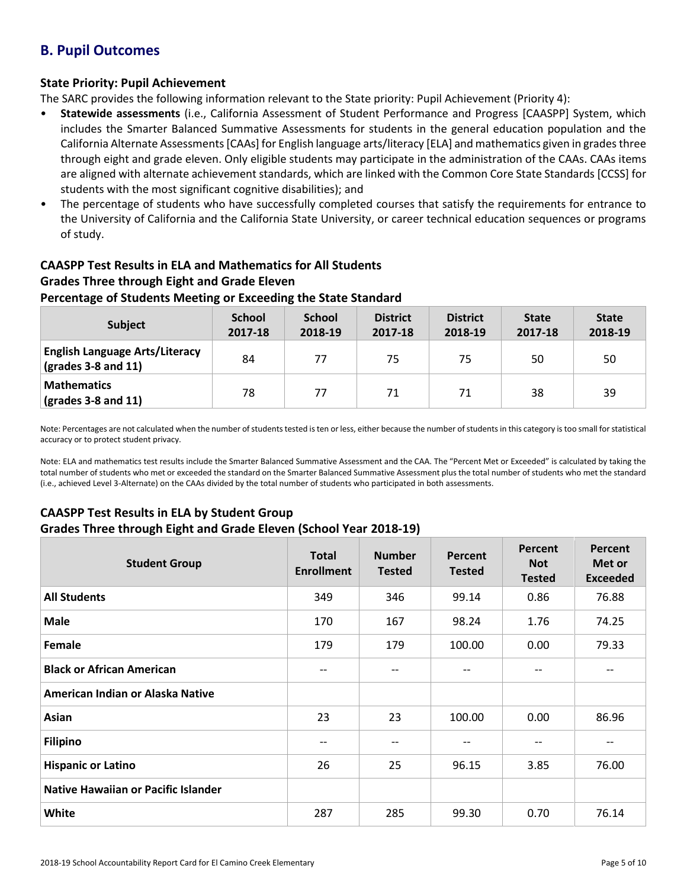## **B. Pupil Outcomes**

## **State Priority: Pupil Achievement**

The SARC provides the following information relevant to the State priority: Pupil Achievement (Priority 4):

- **Statewide assessments** (i.e., California Assessment of Student Performance and Progress [CAASPP] System, which includes the Smarter Balanced Summative Assessments for students in the general education population and the California Alternate Assessments [CAAs] for English language arts/literacy [ELA] and mathematics given in grades three through eight and grade eleven. Only eligible students may participate in the administration of the CAAs. CAAs items are aligned with alternate achievement standards, which are linked with the Common Core State Standards [CCSS] for students with the most significant cognitive disabilities); and
- The percentage of students who have successfully completed courses that satisfy the requirements for entrance to the University of California and the California State University, or career technical education sequences or programs of study.

## **CAASPP Test Results in ELA and Mathematics for All Students Grades Three through Eight and Grade Eleven**

## **Percentage of Students Meeting or Exceeding the State Standard**

| <b>Subject</b>                                                       | <b>School</b><br>2017-18 | <b>School</b><br>2018-19 | <b>District</b><br>2017-18 | <b>District</b><br>2018-19 | <b>State</b><br>2017-18 | <b>State</b><br>2018-19 |
|----------------------------------------------------------------------|--------------------------|--------------------------|----------------------------|----------------------------|-------------------------|-------------------------|
| <b>English Language Arts/Literacy</b><br>$\vert$ (grades 3-8 and 11) | 84                       | 77                       | 75                         | 75                         | 50                      | 50                      |
| <b>Mathematics</b><br>$\vert$ (grades 3-8 and 11)                    | 78                       | 77                       | 71                         | 71                         | 38                      | 39                      |

Note: Percentages are not calculated when the number of students tested is ten or less, either because the number of students in this category is too small for statistical accuracy or to protect student privacy.

Note: ELA and mathematics test results include the Smarter Balanced Summative Assessment and the CAA. The "Percent Met or Exceeded" is calculated by taking the total number of students who met or exceeded the standard on the Smarter Balanced Summative Assessment plus the total number of students who met the standard (i.e., achieved Level 3-Alternate) on the CAAs divided by the total number of students who participated in both assessments.

## **CAASPP Test Results in ELA by Student Group**

### **Grades Three through Eight and Grade Eleven (School Year 2018-19)**

| <b>Student Group</b>                | <b>Total</b><br><b>Enrollment</b> | <b>Number</b><br><b>Tested</b> | Percent<br><b>Tested</b> | Percent<br><b>Not</b><br><b>Tested</b> | Percent<br>Met or<br><b>Exceeded</b> |
|-------------------------------------|-----------------------------------|--------------------------------|--------------------------|----------------------------------------|--------------------------------------|
| <b>All Students</b>                 | 349                               | 346                            | 99.14                    | 0.86                                   | 76.88                                |
| <b>Male</b>                         | 170                               | 167                            | 98.24                    | 1.76                                   | 74.25                                |
| Female                              | 179                               | 179                            | 100.00                   | 0.00                                   | 79.33                                |
| <b>Black or African American</b>    | $- -$                             | --                             | $\overline{\phantom{a}}$ | --                                     | $- -$                                |
| American Indian or Alaska Native    |                                   |                                |                          |                                        |                                      |
| Asian                               | 23                                | 23                             | 100.00                   | 0.00                                   | 86.96                                |
| <b>Filipino</b>                     | $- -$                             | --                             | --                       | --                                     | --                                   |
| <b>Hispanic or Latino</b>           | 26                                | 25                             | 96.15                    | 3.85                                   | 76.00                                |
| Native Hawaiian or Pacific Islander |                                   |                                |                          |                                        |                                      |
| <b>White</b>                        | 287                               | 285                            | 99.30                    | 0.70                                   | 76.14                                |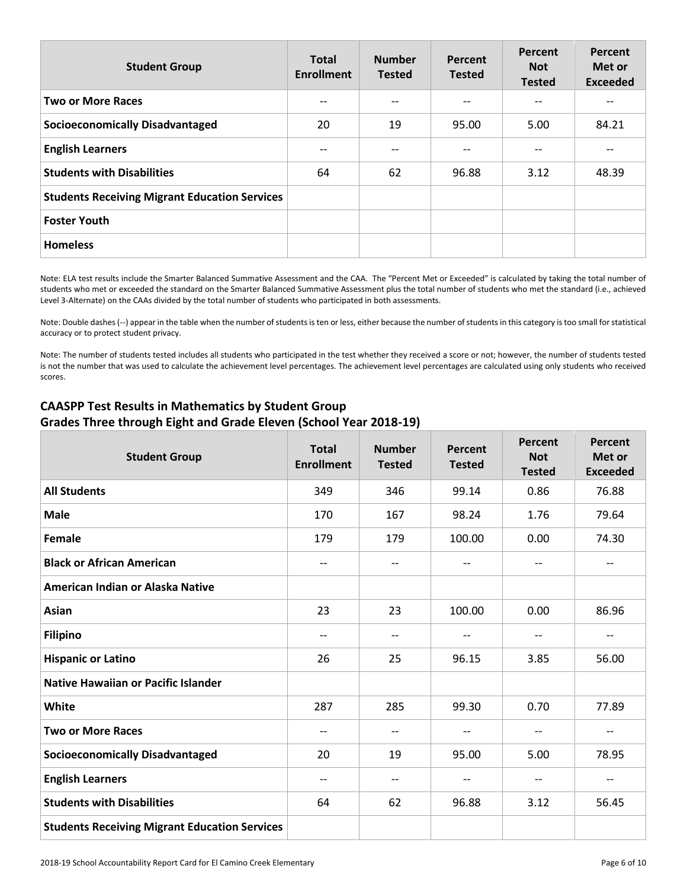| <b>Student Group</b>                                 | <b>Total</b><br><b>Enrollment</b> | <b>Number</b><br><b>Tested</b> | Percent<br><b>Tested</b> | Percent<br><b>Not</b><br><b>Tested</b> | Percent<br>Met or<br><b>Exceeded</b> |
|------------------------------------------------------|-----------------------------------|--------------------------------|--------------------------|----------------------------------------|--------------------------------------|
| <b>Two or More Races</b>                             | --                                |                                | $\qquad \qquad -$        | --                                     |                                      |
| <b>Socioeconomically Disadvantaged</b>               | 20                                | 19                             | 95.00                    | 5.00                                   | 84.21                                |
| <b>English Learners</b>                              | $- -$                             |                                | $\qquad \qquad -$        | $- -$                                  | --                                   |
| <b>Students with Disabilities</b>                    | 64                                | 62                             | 96.88                    | 3.12                                   | 48.39                                |
| <b>Students Receiving Migrant Education Services</b> |                                   |                                |                          |                                        |                                      |
| <b>Foster Youth</b>                                  |                                   |                                |                          |                                        |                                      |
| <b>Homeless</b>                                      |                                   |                                |                          |                                        |                                      |

Note: ELA test results include the Smarter Balanced Summative Assessment and the CAA. The "Percent Met or Exceeded" is calculated by taking the total number of students who met or exceeded the standard on the Smarter Balanced Summative Assessment plus the total number of students who met the standard (i.e., achieved Level 3-Alternate) on the CAAs divided by the total number of students who participated in both assessments.

Note: Double dashes (--) appear in the table when the number of students is ten or less, either because the number of students in this category is too small for statistical accuracy or to protect student privacy.

Note: The number of students tested includes all students who participated in the test whether they received a score or not; however, the number of students tested is not the number that was used to calculate the achievement level percentages. The achievement level percentages are calculated using only students who received scores.

| <b>Student Group</b>                                 | <b>Total</b><br><b>Enrollment</b> | <b>Number</b><br><b>Tested</b> | <b>Percent</b><br><b>Tested</b> | Percent<br><b>Not</b><br><b>Tested</b> | Percent<br>Met or<br><b>Exceeded</b> |
|------------------------------------------------------|-----------------------------------|--------------------------------|---------------------------------|----------------------------------------|--------------------------------------|
| <b>All Students</b>                                  | 349                               | 346                            | 99.14                           | 0.86                                   | 76.88                                |
| <b>Male</b>                                          | 170                               | 167                            | 98.24                           | 1.76                                   | 79.64                                |
| <b>Female</b>                                        | 179                               | 179                            | 100.00                          | 0.00                                   | 74.30                                |
| <b>Black or African American</b>                     | $-$                               | $- -$                          | $\qquad \qquad -$               | $-$                                    | $\overline{\phantom{a}}$             |
| American Indian or Alaska Native                     |                                   |                                |                                 |                                        |                                      |
| Asian                                                | 23                                | 23                             | 100.00                          | 0.00                                   | 86.96                                |
| <b>Filipino</b>                                      | $-$                               | $\overline{\phantom{a}}$       | $-$                             | $-$                                    | $\qquad \qquad -$                    |
| <b>Hispanic or Latino</b>                            | 26                                | 25                             | 96.15                           | 3.85                                   | 56.00                                |
| <b>Native Hawaiian or Pacific Islander</b>           |                                   |                                |                                 |                                        |                                      |
| White                                                | 287                               | 285                            | 99.30                           | 0.70                                   | 77.89                                |
| <b>Two or More Races</b>                             | $-$                               | $\overline{\phantom{a}}$       | $\hspace{0.05cm} \textbf{--}$   | $- -$                                  | $\overline{\phantom{m}}$             |
| <b>Socioeconomically Disadvantaged</b>               | 20                                | 19                             | 95.00                           | 5.00                                   | 78.95                                |
| <b>English Learners</b>                              | $-\, -$                           | $-$                            | $\qquad \qquad -$               | $-$                                    | $\overline{\phantom{m}}$             |
| <b>Students with Disabilities</b>                    | 64                                | 62                             | 96.88                           | 3.12                                   | 56.45                                |
| <b>Students Receiving Migrant Education Services</b> |                                   |                                |                                 |                                        |                                      |

## **CAASPP Test Results in Mathematics by Student Group Grades Three through Eight and Grade Eleven (School Year 2018-19)**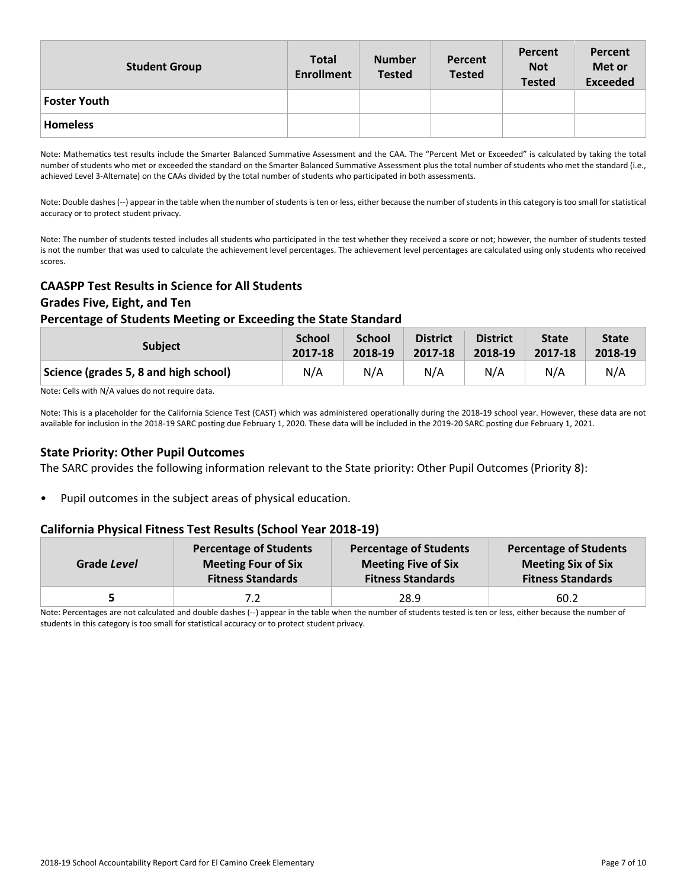| <b>Student Group</b> | <b>Total</b><br><b>Enrollment</b> | <b>Number</b><br><b>Tested</b> | Percent<br><b>Tested</b> | Percent<br><b>Not</b><br><b>Tested</b> | Percent<br>Met or<br><b>Exceeded</b> |
|----------------------|-----------------------------------|--------------------------------|--------------------------|----------------------------------------|--------------------------------------|
| <b>Foster Youth</b>  |                                   |                                |                          |                                        |                                      |
| <b>Homeless</b>      |                                   |                                |                          |                                        |                                      |

Note: Mathematics test results include the Smarter Balanced Summative Assessment and the CAA. The "Percent Met or Exceeded" is calculated by taking the total number of students who met or exceeded the standard on the Smarter Balanced Summative Assessment plus the total number of students who met the standard (i.e., achieved Level 3-Alternate) on the CAAs divided by the total number of students who participated in both assessments.

Note: Double dashes (--) appear in the table when the number of students is ten or less, either because the number of students in this category is too small for statistical accuracy or to protect student privacy.

Note: The number of students tested includes all students who participated in the test whether they received a score or not; however, the number of students tested is not the number that was used to calculate the achievement level percentages. The achievement level percentages are calculated using only students who received scores.

## **CAASPP Test Results in Science for All Students**

#### **Grades Five, Eight, and Ten**

#### **Percentage of Students Meeting or Exceeding the State Standard**

| <b>Subject</b>                        | <b>School</b> | <b>School</b> | <b>District</b> | <b>District</b> | <b>State</b> | <b>State</b> |
|---------------------------------------|---------------|---------------|-----------------|-----------------|--------------|--------------|
|                                       | 2017-18       | 2018-19       | 2017-18         | 2018-19         | 2017-18      | 2018-19      |
| Science (grades 5, 8 and high school) | N/A           | N/A           | N/A             | N/A             | N/A          | N/A          |

Note: Cells with N/A values do not require data.

Note: This is a placeholder for the California Science Test (CAST) which was administered operationally during the 2018-19 school year. However, these data are not available for inclusion in the 2018-19 SARC posting due February 1, 2020. These data will be included in the 2019-20 SARC posting due February 1, 2021.

### **State Priority: Other Pupil Outcomes**

The SARC provides the following information relevant to the State priority: Other Pupil Outcomes (Priority 8):

• Pupil outcomes in the subject areas of physical education.

### **California Physical Fitness Test Results (School Year 2018-19)**

| Grade Level | <b>Percentage of Students</b> | <b>Percentage of Students</b> | <b>Percentage of Students</b> |
|-------------|-------------------------------|-------------------------------|-------------------------------|
|             | <b>Meeting Four of Six</b>    | <b>Meeting Five of Six</b>    | <b>Meeting Six of Six</b>     |
|             | <b>Fitness Standards</b>      | <b>Fitness Standards</b>      | <b>Fitness Standards</b>      |
|             | 7.2                           | 28.9                          | 60.2                          |

Note: Percentages are not calculated and double dashes (--) appear in the table when the number of students tested is ten or less, either because the number of students in this category is too small for statistical accuracy or to protect student privacy.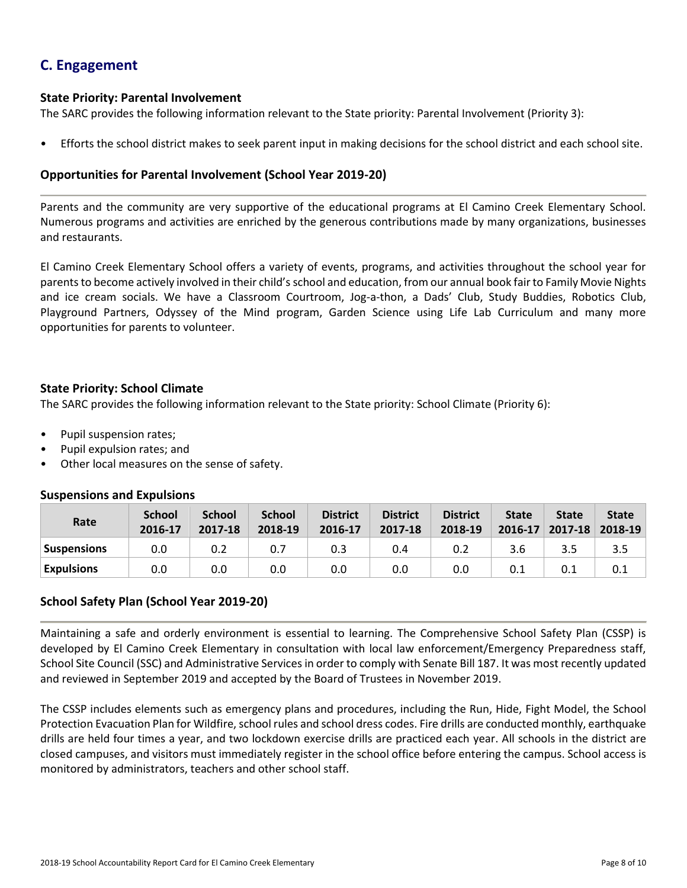## **C. Engagement**

### **State Priority: Parental Involvement**

The SARC provides the following information relevant to the State priority: Parental Involvement (Priority 3):

• Efforts the school district makes to seek parent input in making decisions for the school district and each school site.

## **Opportunities for Parental Involvement (School Year 2019-20)**

Parents and the community are very supportive of the educational programs at El Camino Creek Elementary School. Numerous programs and activities are enriched by the generous contributions made by many organizations, businesses and restaurants.

El Camino Creek Elementary School offers a variety of events, programs, and activities throughout the school year for parents to become actively involved in their child's school and education, from our annual book fair to Family Movie Nights and ice cream socials. We have a Classroom Courtroom, Jog-a-thon, a Dads' Club, Study Buddies, Robotics Club, Playground Partners, Odyssey of the Mind program, Garden Science using Life Lab Curriculum and many more opportunities for parents to volunteer.

## **State Priority: School Climate**

The SARC provides the following information relevant to the State priority: School Climate (Priority 6):

- Pupil suspension rates;
- Pupil expulsion rates; and
- Other local measures on the sense of safety.

### **Suspensions and Expulsions**

| Rate               | <b>School</b><br>2016-17 | <b>School</b><br>2017-18 | <b>School</b><br>2018-19 | <b>District</b><br>2016-17 | <b>District</b><br>2017-18 | <b>District</b><br>2018-19 | <b>State</b><br>2016-17 | <b>State</b> | <b>State</b><br>$2017 - 18$ 2018-19 |
|--------------------|--------------------------|--------------------------|--------------------------|----------------------------|----------------------------|----------------------------|-------------------------|--------------|-------------------------------------|
| <b>Suspensions</b> | 0.0                      | 0.2                      |                          | 0.3                        | 0.4                        | 0.2                        | 3.6                     | 3.5          |                                     |
| <b>Expulsions</b>  | 0.0                      | 0.0                      | 0.0                      | 0.0                        | 0.0                        | 0.0                        | 0.1                     | 0.1          | 0.1                                 |

## **School Safety Plan (School Year 2019-20)**

Maintaining a safe and orderly environment is essential to learning. The Comprehensive School Safety Plan (CSSP) is developed by El Camino Creek Elementary in consultation with local law enforcement/Emergency Preparedness staff, School Site Council (SSC) and Administrative Services in order to comply with Senate Bill 187. It was most recently updated and reviewed in September 2019 and accepted by the Board of Trustees in November 2019.

The CSSP includes elements such as emergency plans and procedures, including the Run, Hide, Fight Model, the School Protection Evacuation Plan for Wildfire, school rules and school dress codes. Fire drills are conducted monthly, earthquake drills are held four times a year, and two lockdown exercise drills are practiced each year. All schools in the district are closed campuses, and visitors must immediately register in the school office before entering the campus. School access is monitored by administrators, teachers and other school staff.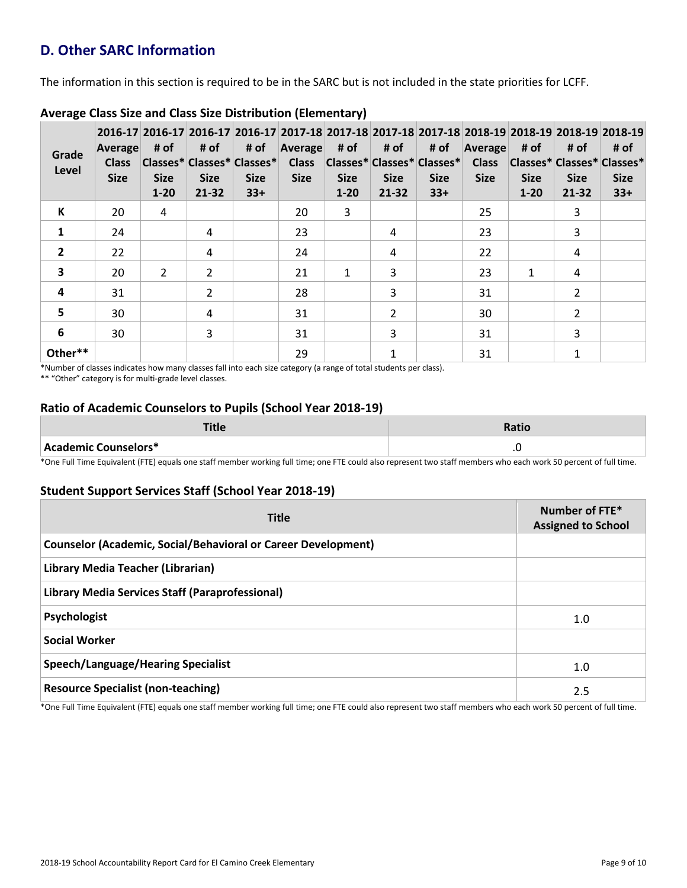## **D. Other SARC Information**

The information in this section is required to be in the SARC but is not included in the state priorities for LCFF.

| Grade<br>Level          | Average<br><b>Class</b><br><b>Size</b> | # of<br><b>Size</b><br>$1 - 20$ | # of<br><b>Size</b><br>21-32 | # of<br>Classes* Classes* Classes*<br><b>Size</b><br>$33+$ | Average<br><b>Class</b><br><b>Size</b> | # of<br><b>Size</b><br>$1 - 20$ | 2016-17 2016-17 2016-17 2016-17 2017-18 2017-18 2017-18 2017-18 2017-18 2018-19 2018-19 2018-19 2018-19<br># of<br> Classes* Classes* Classes* <br><b>Size</b><br>$21 - 32$ | # of<br><b>Size</b><br>$33+$ | <b>Average</b><br><b>Class</b><br><b>Size</b> | # of<br>Classes* Classes* Classes*<br><b>Size</b><br>$1 - 20$ | # of<br><b>Size</b><br>21-32 | # of<br><b>Size</b><br>$33+$ |
|-------------------------|----------------------------------------|---------------------------------|------------------------------|------------------------------------------------------------|----------------------------------------|---------------------------------|-----------------------------------------------------------------------------------------------------------------------------------------------------------------------------|------------------------------|-----------------------------------------------|---------------------------------------------------------------|------------------------------|------------------------------|
| К                       | 20                                     | 4                               |                              |                                                            | 20                                     | 3                               |                                                                                                                                                                             |                              | 25                                            |                                                               | 3                            |                              |
| 1                       | 24                                     |                                 | 4                            |                                                            | 23                                     |                                 | 4                                                                                                                                                                           |                              | 23                                            |                                                               | 3                            |                              |
| $\overline{2}$          | 22                                     |                                 | 4                            |                                                            | 24                                     |                                 | 4                                                                                                                                                                           |                              | 22                                            |                                                               | 4                            |                              |
| $\overline{\mathbf{3}}$ | 20                                     | $\overline{2}$                  | $\overline{2}$               |                                                            | 21                                     | 1                               | 3                                                                                                                                                                           |                              | 23                                            | $\mathbf{1}$                                                  | 4                            |                              |
| 4                       | 31                                     |                                 | $\overline{2}$               |                                                            | 28                                     |                                 | 3                                                                                                                                                                           |                              | 31                                            |                                                               | 2                            |                              |
| 5                       | 30                                     |                                 | 4                            |                                                            | 31                                     |                                 | $\mathfrak{p}$                                                                                                                                                              |                              | 30                                            |                                                               | 2                            |                              |
| 6                       | 30                                     |                                 | 3                            |                                                            | 31                                     |                                 | 3                                                                                                                                                                           |                              | 31                                            |                                                               | 3                            |                              |
| Other**                 |                                        |                                 |                              |                                                            | 29                                     |                                 |                                                                                                                                                                             |                              | 31                                            |                                                               |                              |                              |

## **Average Class Size and Class Size Distribution (Elementary)**

\*Number of classes indicates how many classes fall into each size category (a range of total students per class).

\*\* "Other" category is for multi-grade level classes.

## **Ratio of Academic Counselors to Pupils (School Year 2018-19)**

| $\blacksquare$       | Ratic   |
|----------------------|---------|
| Academic Counselors* | $\cdot$ |

\*One Full Time Equivalent (FTE) equals one staff member working full time; one FTE could also represent two staff members who each work 50 percent of full time.

## **Student Support Services Staff (School Year 2018-19)**

| <b>Title</b>                                                         | Number of FTE*<br><b>Assigned to School</b> |
|----------------------------------------------------------------------|---------------------------------------------|
| <b>Counselor (Academic, Social/Behavioral or Career Development)</b> |                                             |
| Library Media Teacher (Librarian)                                    |                                             |
| <b>Library Media Services Staff (Paraprofessional)</b>               |                                             |
| <b>Psychologist</b>                                                  | 1.0                                         |
| <b>Social Worker</b>                                                 |                                             |
| Speech/Language/Hearing Specialist                                   | 1.0                                         |
| <b>Resource Specialist (non-teaching)</b>                            | 2.5                                         |

\*One Full Time Equivalent (FTE) equals one staff member working full time; one FTE could also represent two staff members who each work 50 percent of full time.